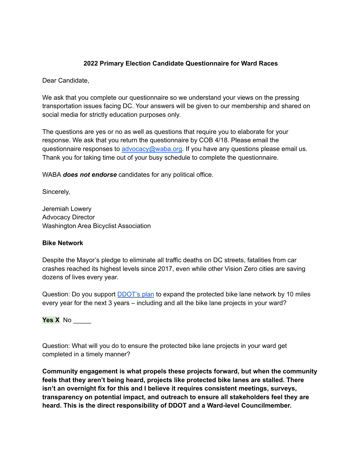## **2022 Primary Election Candidate Questionnaire for Ward Races**

Dear Candidate,

We ask that you complete our questionnaire so we understand your views on the pressing transportation issues facing DC. Your answers will be given to our membership and shared on social media for strictly education purposes only.

The questions are yes or no as well as questions that require you to elaborate for your response. We ask that you return the questionnaire by COB 4/18. Please email the questionnaire responses to [advocacy@waba.org.](mailto:jeremiah.lowery@waba.org) If you have any questions please email us. Thank you for taking time out of your busy schedule to complete the questionnaire.

WABA *does not endorse* candidates for any political office.

Sincerely,

Jeremiah Lowery Advocacy Director Washington Area Bicyclist Association

#### **Bike Network**

Despite the Mayor's pledge to eliminate all traffic deaths on DC streets, fatalities from car crashes reached its highest levels since 2017, even while other Vision Zero cities are saving dozens of lives every year.

Question: Do you support **[DDOT's plan](https://ddot.dc.gov/page/bicycle-lanes)** to expand the protected bike lane network by 10 miles every year for the next 3 years – including and all the bike lane projects in your ward?

**Yes X** No \_\_\_\_\_

Question: What will you do to ensure the protected bike lane projects in your ward get completed in a timely manner?

**Community engagement is what propels these projects forward, but when the community feels that they aren't being heard, projects like protected bike lanes are stalled. There isn't an overnight fix for this and I believe it requires consistent meetings, surveys, transparency on potential impact, and outreach to ensure all stakeholders feel they are heard. This is the direct responsibility of DDOT and a Ward-level Councilmember.**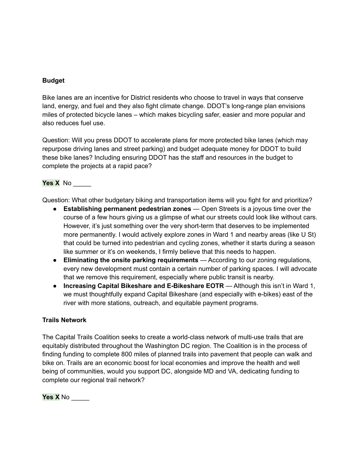#### **Budget**

Bike lanes are an incentive for District residents who choose to travel in ways that conserve land, energy, and fuel and they also fight climate change. DDOT's long-range plan envisions miles of protected bicycle lanes – which makes bicycling safer, easier and more popular and also reduces fuel use.

Question: Will you press DDOT to accelerate plans for more protected bike lanes (which may repurpose driving lanes and street parking) and budget adequate money for DDOT to build these bike lanes? Including ensuring DDOT has the staff and resources in the budget to complete the projects at a rapid pace?

### **Yes X** No \_\_\_\_\_

Question: What other budgetary biking and transportation items will you fight for and prioritize?

- **Establishing permanent pedestrian zones** Open Streets is a joyous time over the course of a few hours giving us a glimpse of what our streets could look like without cars. However, it's just something over the very short-term that deserves to be implemented more permanently. I would actively explore zones in Ward 1 and nearby areas (like U St) that could be turned into pedestrian and cycling zones, whether it starts during a season like summer or it's on weekends, I firmly believe that this needs to happen.
- **Eliminating the onsite parking requirements** According to our zoning regulations, every new development must contain a certain number of parking spaces. I will advocate that we remove this requirement, especially where public transit is nearby.
- **Increasing Capital Bikeshare and E-Bikeshare EOTR** Although this isn't in Ward 1, we must thoughtfully expand Capital Bikeshare (and especially with e-bikes) east of the river with more stations, outreach, and equitable payment programs.

#### **Trails Network**

The Capital Trails Coalition seeks to create a world-class network of multi-use trails that are equitably distributed throughout the Washington DC region. The Coalition is in the process of finding funding to complete 800 miles of planned trails into pavement that people can walk and bike on. Trails are an economic boost for local economies and improve the health and well being of communities, would you support DC, alongside MD and VA, dedicating funding to complete our regional trail network?

**Yes X** No \_\_\_\_\_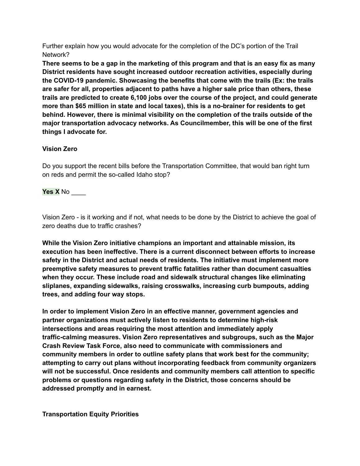Further explain how you would advocate for the completion of the DC's portion of the Trail Network?

**There seems to be a gap in the marketing of this program and that is an easy fix as many District residents have sought increased outdoor recreation activities, especially during the COVID-19 pandemic. Showcasing the benefits that come with the trails (Ex: the trails are safer for all, properties adjacent to paths have a higher sale price than others, these trails are predicted to create 6,100 jobs over the course of the project, and could generate more than \$65 million in state and local taxes), this is a no-brainer for residents to get behind. However, there is minimal visibility on the completion of the trails outside of the major transportation advocacy networks. As Councilmember, this will be one of the first things I advocate for.**

## **Vision Zero**

Do you support the recent bills before the Transportation Committee, that would ban right turn on reds and permit the so-called Idaho stop?

# **Yes X** No \_\_\_\_

Vision Zero - is it working and if not, what needs to be done by the District to achieve the goal of zero deaths due to traffic crashes?

**While the Vision Zero initiative champions an important and attainable mission, its execution has been ineffective. There is a current disconnect between efforts to increase safety in the District and actual needs of residents. The initiative must implement more preemptive safety measures to prevent traffic fatalities rather than document casualties when they occur. These include road and sidewalk structural changes like eliminating sliplanes, expanding sidewalks, raising crosswalks, increasing curb bumpouts, adding trees, and adding four way stops.**

**In order to implement Vision Zero in an effective manner, government agencies and partner organizations must actively listen to residents to determine high-risk intersections and areas requiring the most attention and immediately apply traffic-calming measures. Vision Zero representatives and subgroups, such as the Major Crash Review Task Force, also need to communicate with commissioners and community members in order to outline safety plans that work best for the community; attempting to carry out plans without incorporating feedback from community organizers will not be successful. Once residents and community members call attention to specific problems or questions regarding safety in the District, those concerns should be addressed promptly and in earnest.**

**Transportation Equity Priorities**